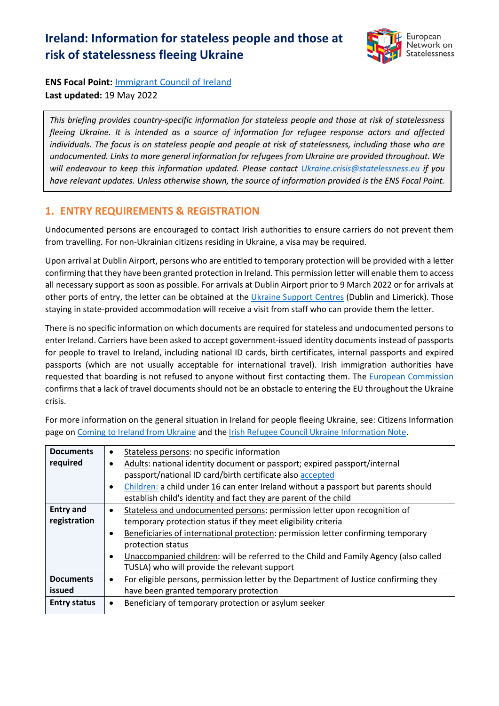# **Ireland: Information for stateless people and those at risk of statelessness fleeing Ukraine**



**ENS Focal Point:** [Immigrant Council of Ireland](http://www.immigrantcouncil.ie/) **Last updated:** 19 May 2022

*This briefing provides country-specific information for stateless people and those at risk of statelessness fleeing Ukraine. It is intended as a source of information for refugee response actors and affected individuals. The focus is on stateless people and people at risk of statelessness, including those who are undocumented. Links to more general information for refugees from Ukraine are provided throughout. We will endeavour to keep this information updated. Please contact [Ukraine.crisis@statelessness.eu](mailto:Ukraine.crisis@statelessness.eu) if you have relevant updates. Unless otherwise shown, the source of information provided is the ENS Focal Point.*

## **1. ENTRY REQUIREMENTS & REGISTRATION**

Undocumented persons are encouraged to contact Irish authorities to ensure carriers do not prevent them from travelling. For non-Ukrainian citizens residing in Ukraine, a visa may be required.

Upon arrival at Dublin Airport, persons who are entitled to temporary protection will be provided with a letter confirming that they have been granted protection in Ireland. This permission letter will enable them to access all necessary support as soon as possible. For arrivals at Dublin Airport prior to 9 March 2022 or for arrivals at other ports of entry, the letter can be obtained at the *Ukraine Support Centres* (Dublin and Limerick). Those staying in state-provided accommodation will receive a visit from staff who can provide them the letter.

There is no specific information on which documents are required for stateless and undocumented persons to enter Ireland. Carriers have been asked to accept government-issued identity documents instead of passports for people to travel to Ireland, including national ID cards, birth certificates, internal passports and expired passports (which are not usually acceptable for international travel). Irish immigration authorities have requested that boarding is not refused to anyone without first contacting them. The [European Commission](https://ec.europa.eu/info/sites/default/files/information_for_people_fleeing_russias_invasion_of_ukraine_en.pdf) confirms that a lack of travel documents should not be an obstacle to entering the EU throughout the Ukraine crisis.

| <b>Documents</b>    | Stateless persons: no specific information                                                        |  |  |
|---------------------|---------------------------------------------------------------------------------------------------|--|--|
| required            | Adults: national identity document or passport; expired passport/internal<br>$\bullet$            |  |  |
|                     | passport/national ID card/birth certificate also accepted                                         |  |  |
|                     | Children: a child under 16 can enter Ireland without a passport but parents should<br>$\bullet$   |  |  |
|                     | establish child's identity and fact they are parent of the child                                  |  |  |
| <b>Entry and</b>    | Stateless and undocumented persons: permission letter upon recognition of                         |  |  |
| registration        | temporary protection status if they meet eligibility criteria                                     |  |  |
|                     | Beneficiaries of international protection: permission letter confirming temporary<br>$\bullet$    |  |  |
|                     | protection status                                                                                 |  |  |
|                     | Unaccompanied children: will be referred to the Child and Family Agency (also called<br>$\bullet$ |  |  |
|                     | TUSLA) who will provide the relevant support                                                      |  |  |
| <b>Documents</b>    | For eligible persons, permission letter by the Department of Justice confirming they<br>$\bullet$ |  |  |
| issued              | have been granted temporary protection                                                            |  |  |
| <b>Entry status</b> | Beneficiary of temporary protection or asylum seeker<br>$\bullet$                                 |  |  |

For more information on the general situation in Ireland for people fleeing Ukraine, see: Citizens Information page on [Coming to Ireland from Ukraine](https://www.citizensinformation.ie/en/moving_country/asylum_seekers_and_refugees/the_asylum_process_in_ireland/coming_to_ireland_from_ukraine.html) and the [Irish Refugee Council Ukraine Information Note.](https://www.irishrefugeecouncil.ie/ukraine-information-note)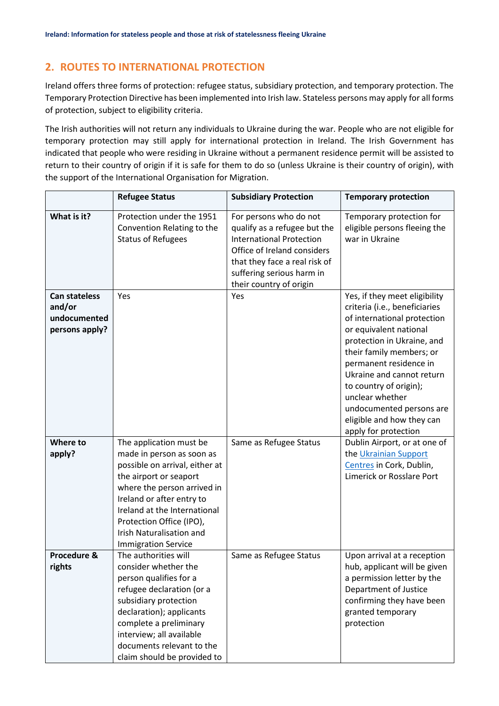## **2. ROUTES TO INTERNATIONAL PROTECTION**

Ireland offers three forms of protection: refugee status, subsidiary protection, and temporary protection. The Temporary Protection Directive has been implemented into Irish law. Stateless persons may apply for all forms of protection, subject to eligibility criteria.

The Irish authorities will not return any individuals to Ukraine during the war. People who are not eligible for temporary protection may still apply for international protection in Ireland. The Irish Government has indicated that people who were residing in Ukraine without a permanent residence permit will be assisted to return to their country of origin if it is safe for them to do so (unless Ukraine is their country of origin), with the support of the International Organisation for Migration.

|                                                                  | <b>Refugee Status</b>                                                                                                                                                                                                                                                                                     | <b>Subsidiary Protection</b>                                                                                                                                                                                      | <b>Temporary protection</b>                                                                                                                                                                                                                                                                                                                                            |
|------------------------------------------------------------------|-----------------------------------------------------------------------------------------------------------------------------------------------------------------------------------------------------------------------------------------------------------------------------------------------------------|-------------------------------------------------------------------------------------------------------------------------------------------------------------------------------------------------------------------|------------------------------------------------------------------------------------------------------------------------------------------------------------------------------------------------------------------------------------------------------------------------------------------------------------------------------------------------------------------------|
| What is it?                                                      | Protection under the 1951<br>Convention Relating to the<br><b>Status of Refugees</b>                                                                                                                                                                                                                      | For persons who do not<br>qualify as a refugee but the<br><b>International Protection</b><br>Office of Ireland considers<br>that they face a real risk of<br>suffering serious harm in<br>their country of origin | Temporary protection for<br>eligible persons fleeing the<br>war in Ukraine                                                                                                                                                                                                                                                                                             |
| <b>Can stateless</b><br>and/or<br>undocumented<br>persons apply? | Yes                                                                                                                                                                                                                                                                                                       | Yes                                                                                                                                                                                                               | Yes, if they meet eligibility<br>criteria (i.e., beneficiaries<br>of international protection<br>or equivalent national<br>protection in Ukraine, and<br>their family members; or<br>permanent residence in<br>Ukraine and cannot return<br>to country of origin);<br>unclear whether<br>undocumented persons are<br>eligible and how they can<br>apply for protection |
| Where to<br>apply?                                               | The application must be<br>made in person as soon as<br>possible on arrival, either at<br>the airport or seaport<br>where the person arrived in<br>Ireland or after entry to<br>Ireland at the International<br>Protection Office (IPO),<br><b>Irish Naturalisation and</b><br><b>Immigration Service</b> | Same as Refugee Status                                                                                                                                                                                            | Dublin Airport, or at one of<br>the Ukrainian Support<br>Centres in Cork, Dublin,<br>Limerick or Rosslare Port                                                                                                                                                                                                                                                         |
| Procedure &<br>rights                                            | The authorities will<br>consider whether the<br>person qualifies for a<br>refugee declaration (or a<br>subsidiary protection<br>declaration); applicants<br>complete a preliminary<br>interview; all available<br>documents relevant to the<br>claim should be provided to                                | Same as Refugee Status                                                                                                                                                                                            | Upon arrival at a reception<br>hub, applicant will be given<br>a permission letter by the<br>Department of Justice<br>confirming they have been<br>granted temporary<br>protection                                                                                                                                                                                     |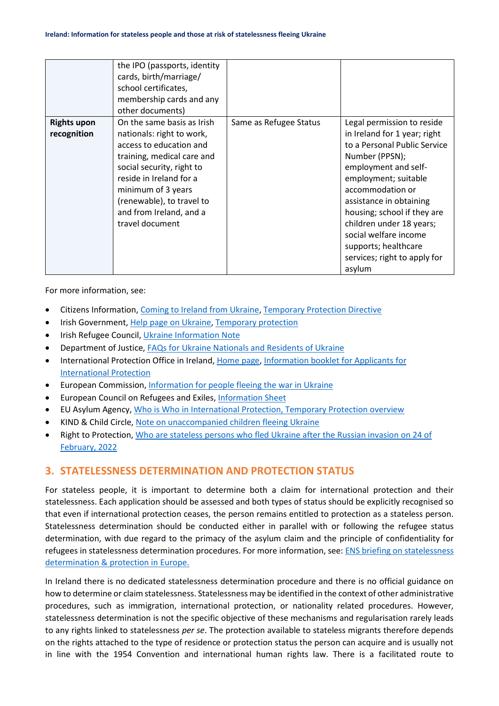|                                   | the IPO (passports, identity<br>cards, birth/marriage/<br>school certificates,<br>membership cards and any<br>other documents)                                                                                                                                            |                        |                                                                                                                                                                                                                                                                                                                                                                   |
|-----------------------------------|---------------------------------------------------------------------------------------------------------------------------------------------------------------------------------------------------------------------------------------------------------------------------|------------------------|-------------------------------------------------------------------------------------------------------------------------------------------------------------------------------------------------------------------------------------------------------------------------------------------------------------------------------------------------------------------|
| <b>Rights upon</b><br>recognition | On the same basis as Irish<br>nationals: right to work,<br>access to education and<br>training, medical care and<br>social security, right to<br>reside in Ireland for a<br>minimum of 3 years<br>(renewable), to travel to<br>and from Ireland, and a<br>travel document | Same as Refugee Status | Legal permission to reside<br>in Ireland for 1 year; right<br>to a Personal Public Service<br>Number (PPSN);<br>employment and self-<br>employment; suitable<br>accommodation or<br>assistance in obtaining<br>housing; school if they are<br>children under 18 years;<br>social welfare income<br>supports; healthcare<br>services; right to apply for<br>asylum |

For more information, see:

- Citizens Information[, Coming to Ireland from Ukraine,](https://www.citizensinformation.ie/en/moving_country/asylum_seekers_and_refugees/the_asylum_process_in_ireland/coming_to_ireland_from_ukraine.htmlhttps:/www.citizensinformation.ie/en/moving_country/asylum_seekers_and_refugees/the_asylum_process_in_ireland/coming_to_ireland_from_ukraine.html) [Temporary Protection Directive](https://www.citizensinformation.ie/en/moving_country/asylum_seekers_and_refugees/the_asylum_process_in_ireland/temporary_protection_directive.html)
- Irish Government[, Help page on Ukraine,](https://www.gov.ie/en/campaigns/bc537-irelands-response-to-the-situation-in-ukraine/) [Temporary protection](https://www.gov.ie/en/publication/0f773-temporary-protection/)
- **Irish Refugee Council, [Ukraine Information Note](https://www.irishrefugeecouncil.ie/ukraine-information-note)**
- Department of Justice, [FAQs for Ukraine Nationals and Residents of Ukraine](https://www.irishimmigration.ie/faqs-for-ukraine-nationals-and-residents-of-ukraine/)
- International Protection Office in Ireland[, Home page,](http://www.ipo.gov.ie/) [Information booklet for Applicants for](http://www.ipo.gov.ie/en/IPO/InfoBookletNew.pdf/Files/InfoBookletNew.pdf)  [International Protection](http://www.ipo.gov.ie/en/IPO/InfoBookletNew.pdf/Files/InfoBookletNew.pdf)
- European Commission, [Information for people fleeing the war in Ukraine](https://ec.europa.eu/info/strategy/priorities-2019-2024/stronger-europe-world/eu-solidarity-ukraine/eu-assistance-ukraine/information-people-fleeing-war-ukraine_en)
- European Council on Refugees and Exiles, [Information Sheet](https://ecre.org/wp-content/uploads/2022/03/Information-Sheet-%E2%80%93-Access-to-territory-asylum-procedures-and-reception-conditions-for-Ukrainian-nationals-in-European-countries.pdf)
- EU Asylum Agency, [Who is Who in International Protection, Temporary Protection overview](https://whoiswho.euaa.europa.eu/temporary-protection)
- KIND & Child Circle, [Note on unaccompanied children fleeing Ukraine](https://supportkind.org/wp-content/uploads/2022/03/Note-on-Unaccompanied-Children-Fleeing-from-Ukraine_Updated.pdf)
- Right to Protection, [Who are stateless persons who fled Ukraine after the Russian invasion on 24 of](https://r2p.org.ua/stateless-persons-fled-ukraine-after-2022/?lang=en)  [February, 2022](https://r2p.org.ua/stateless-persons-fled-ukraine-after-2022/?lang=en)

### **3. STATELESSNESS DETERMINATION AND PROTECTION STATUS**

For stateless people, it is important to determine both a claim for international protection and their statelessness. Each application should be assessed and both types of status should be explicitly recognised so that even if international protection ceases, the person remains entitled to protection as a stateless person. Statelessness determination should be conducted either in parallel with or following the refugee status determination, with due regard to the primacy of the asylum claim and the principle of confidentiality for refugees in statelessness determination procedures. For more information, see: [ENS briefing on statelessness](https://index.statelessness.eu/sites/default/files/ENS-Statelessness_determination_and_protection_in_Europe-Sep_2021.pdf)  [determination & protection in Europe.](https://index.statelessness.eu/sites/default/files/ENS-Statelessness_determination_and_protection_in_Europe-Sep_2021.pdf)

In Ireland there is no dedicated statelessness determination procedure and there is no official guidance on how to determine or claim statelessness. Statelessness may be identified in the context of other administrative procedures, such as immigration, international protection, or nationality related procedures. However, statelessness determination is not the specific objective of these mechanisms and regularisation rarely leads to any rights linked to statelessness *per se*. The protection available to stateless migrants therefore depends on the rights attached to the type of residence or protection status the person can acquire and is usually not in line with the 1954 Convention and international human rights law. There is a facilitated route to